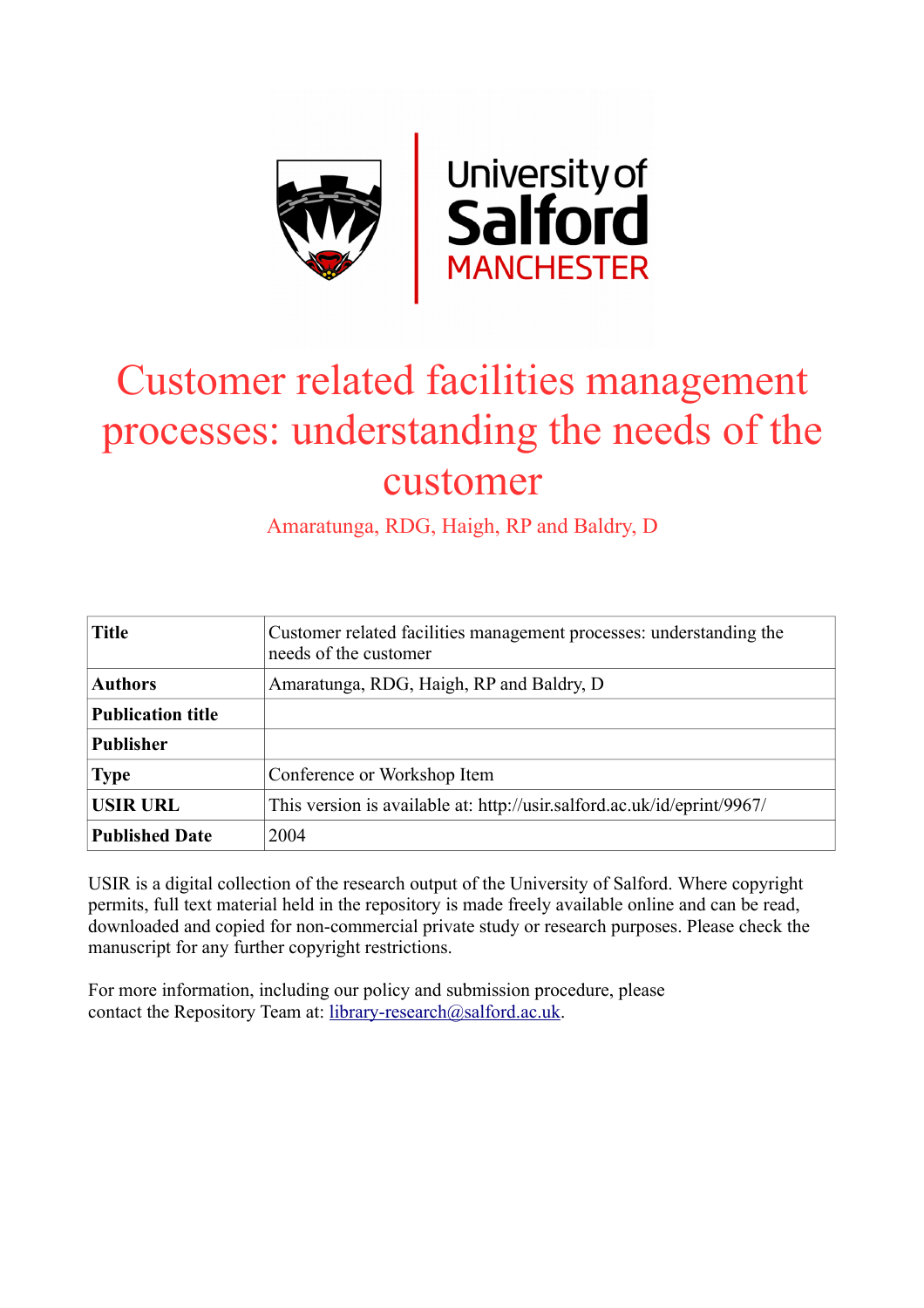

# Customer related facilities management processes: understanding the needs of the customer

Amaratunga, RDG, Haigh, RP and Baldry, D

| <b>Title</b>             | Customer related facilities management processes: understanding the<br>needs of the customer |
|--------------------------|----------------------------------------------------------------------------------------------|
| <b>Authors</b>           | Amaratunga, RDG, Haigh, RP and Baldry, D                                                     |
| <b>Publication title</b> |                                                                                              |
| <b>Publisher</b>         |                                                                                              |
| <b>Type</b>              | Conference or Workshop Item                                                                  |
| <b>USIR URL</b>          | This version is available at: http://usir.salford.ac.uk/id/eprint/9967/                      |
| <b>Published Date</b>    | 2004                                                                                         |

USIR is a digital collection of the research output of the University of Salford. Where copyright permits, full text material held in the repository is made freely available online and can be read, downloaded and copied for non-commercial private study or research purposes. Please check the manuscript for any further copyright restrictions.

For more information, including our policy and submission procedure, please contact the Repository Team at: [library-research@salford.ac.uk.](mailto:library-research@salford.ac.uk)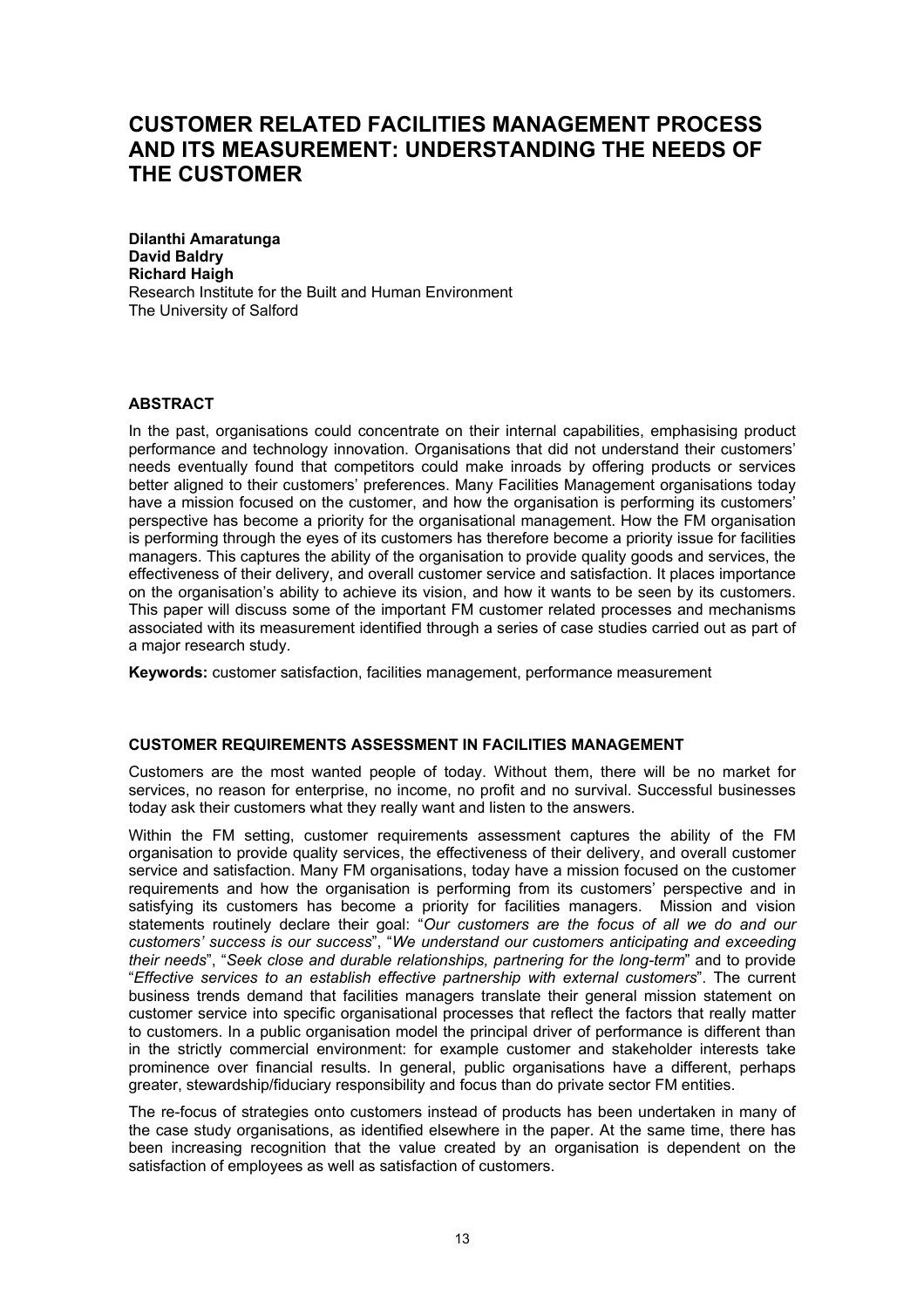# **CUSTOMER RELATED FACILITIES MANAGEMENT PROCESS AND ITS MEASUREMENT: UNDERSTANDING THE NEEDS OF THE CUSTOMER**

**Dilanthi Amaratunga David Baldry Richard Haigh**  Research Institute for the Built and Human Environment The University of Salford

# **ABSTRACT**

In the past, organisations could concentrate on their internal capabilities, emphasising product performance and technology innovation. Organisations that did not understand their customers' needs eventually found that competitors could make inroads by offering products or services better aligned to their customers' preferences. Many Facilities Management organisations today have a mission focused on the customer, and how the organisation is performing its customers' perspective has become a priority for the organisational management. How the FM organisation is performing through the eyes of its customers has therefore become a priority issue for facilities managers. This captures the ability of the organisation to provide quality goods and services, the effectiveness of their delivery, and overall customer service and satisfaction. It places importance on the organisation's ability to achieve its vision, and how it wants to be seen by its customers. This paper will discuss some of the important FM customer related processes and mechanisms associated with its measurement identified through a series of case studies carried out as part of a major research study.

**Keywords:** customer satisfaction, facilities management, performance measurement

# **CUSTOMER REQUIREMENTS ASSESSMENT IN FACILITIES MANAGEMENT**

Customers are the most wanted people of today. Without them, there will be no market for services, no reason for enterprise, no income, no profit and no survival. Successful businesses today ask their customers what they really want and listen to the answers.

Within the FM setting, customer requirements assessment captures the ability of the FM organisation to provide quality services, the effectiveness of their delivery, and overall customer service and satisfaction. Many FM organisations, today have a mission focused on the customer requirements and how the organisation is performing from its customers' perspective and in satisfying its customers has become a priority for facilities managers. Mission and vision statements routinely declare their goal: "*Our customers are the focus of all we do and our customers' success is our success*", "*We understand our customers anticipating and exceeding their needs*", "*Seek close and durable relationships, partnering for the long-term*" and to provide "*Effective services to an establish effective partnership with external customers*". The current business trends demand that facilities managers translate their general mission statement on customer service into specific organisational processes that reflect the factors that really matter to customers. In a public organisation model the principal driver of performance is different than in the strictly commercial environment: for example customer and stakeholder interests take prominence over financial results. In general, public organisations have a different, perhaps greater, stewardship/fiduciary responsibility and focus than do private sector FM entities.

The re-focus of strategies onto customers instead of products has been undertaken in many of the case study organisations, as identified elsewhere in the paper. At the same time, there has been increasing recognition that the value created by an organisation is dependent on the satisfaction of employees as well as satisfaction of customers.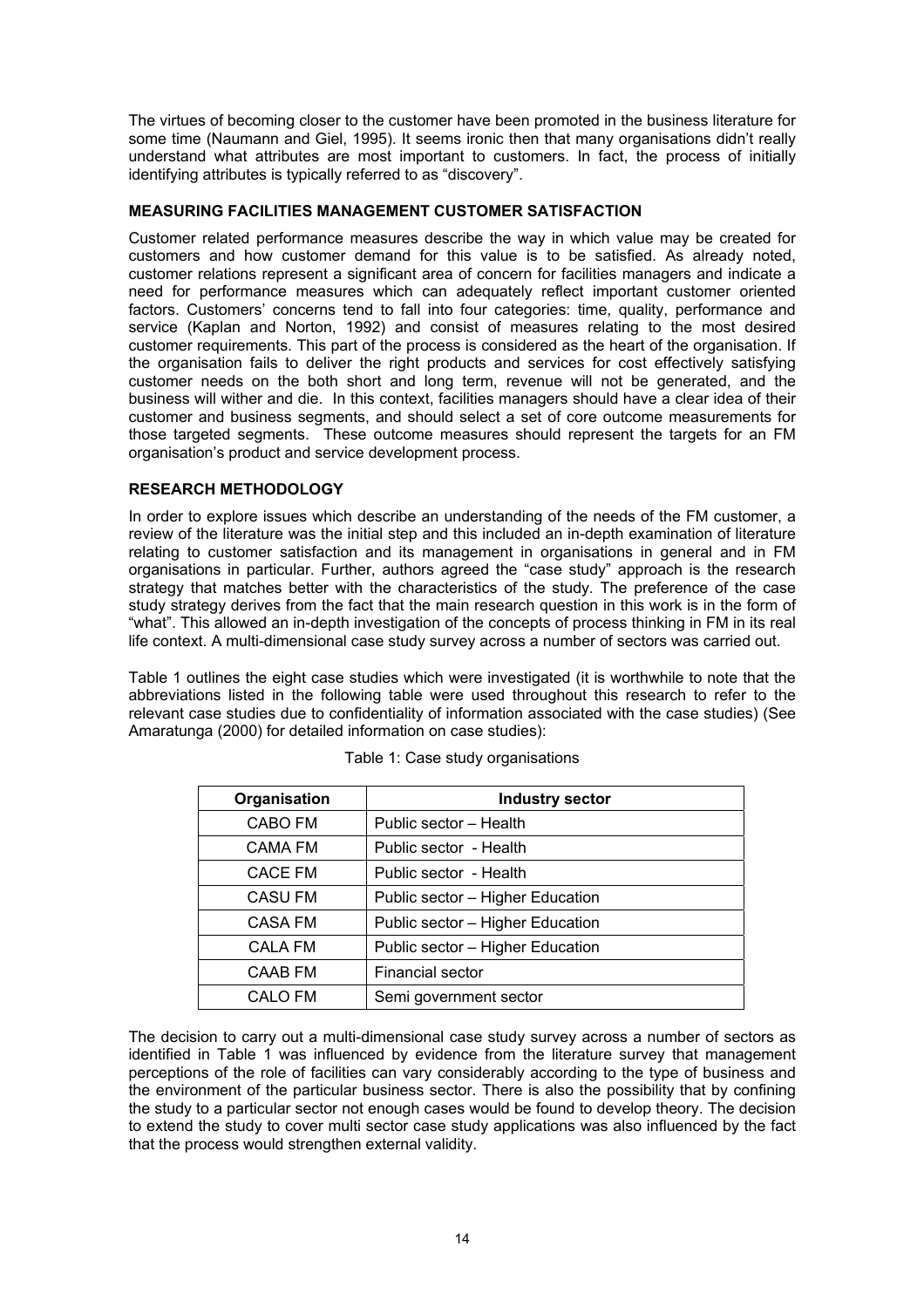The virtues of becoming closer to the customer have been promoted in the business literature for some time (Naumann and Giel, 1995). It seems ironic then that many organisations didn't really understand what attributes are most important to customers. In fact, the process of initially identifying attributes is typically referred to as "discovery".

# **MEASURING FACILITIES MANAGEMENT CUSTOMER SATISFACTION**

Customer related performance measures describe the way in which value may be created for customers and how customer demand for this value is to be satisfied. As already noted, customer relations represent a significant area of concern for facilities managers and indicate a need for performance measures which can adequately reflect important customer oriented factors. Customers' concerns tend to fall into four categories: time, quality, performance and service (Kaplan and Norton, 1992) and consist of measures relating to the most desired customer requirements. This part of the process is considered as the heart of the organisation. If the organisation fails to deliver the right products and services for cost effectively satisfying customer needs on the both short and long term, revenue will not be generated, and the business will wither and die. In this context, facilities managers should have a clear idea of their customer and business segments, and should select a set of core outcome measurements for those targeted segments. These outcome measures should represent the targets for an FM organisation's product and service development process.

# **RESEARCH METHODOLOGY**

In order to explore issues which describe an understanding of the needs of the FM customer, a review of the literature was the initial step and this included an in-depth examination of literature relating to customer satisfaction and its management in organisations in general and in FM organisations in particular. Further, authors agreed the "case study" approach is the research strategy that matches better with the characteristics of the study. The preference of the case study strategy derives from the fact that the main research question in this work is in the form of "what". This allowed an in-depth investigation of the concepts of process thinking in FM in its real life context. A multi-dimensional case study survey across a number of sectors was carried out.

Table 1 outlines the eight case studies which were investigated (it is worthwhile to note that the abbreviations listed in the following table were used throughout this research to refer to the relevant case studies due to confidentiality of information associated with the case studies) (See Amaratunga (2000) for detailed information on case studies):

| <b>Industry sector</b>           |  |  |  |
|----------------------------------|--|--|--|
| Public sector - Health           |  |  |  |
| Public sector - Health           |  |  |  |
| Public sector - Health           |  |  |  |
| Public sector - Higher Education |  |  |  |
| Public sector - Higher Education |  |  |  |
| Public sector - Higher Education |  |  |  |
| <b>Financial sector</b>          |  |  |  |
| Semi government sector           |  |  |  |
|                                  |  |  |  |

Table 1: Case study organisations

The decision to carry out a multi-dimensional case study survey across a number of sectors as identified in Table 1 was influenced by evidence from the literature survey that management perceptions of the role of facilities can vary considerably according to the type of business and the environment of the particular business sector. There is also the possibility that by confining the study to a particular sector not enough cases would be found to develop theory. The decision to extend the study to cover multi sector case study applications was also influenced by the fact that the process would strengthen external validity.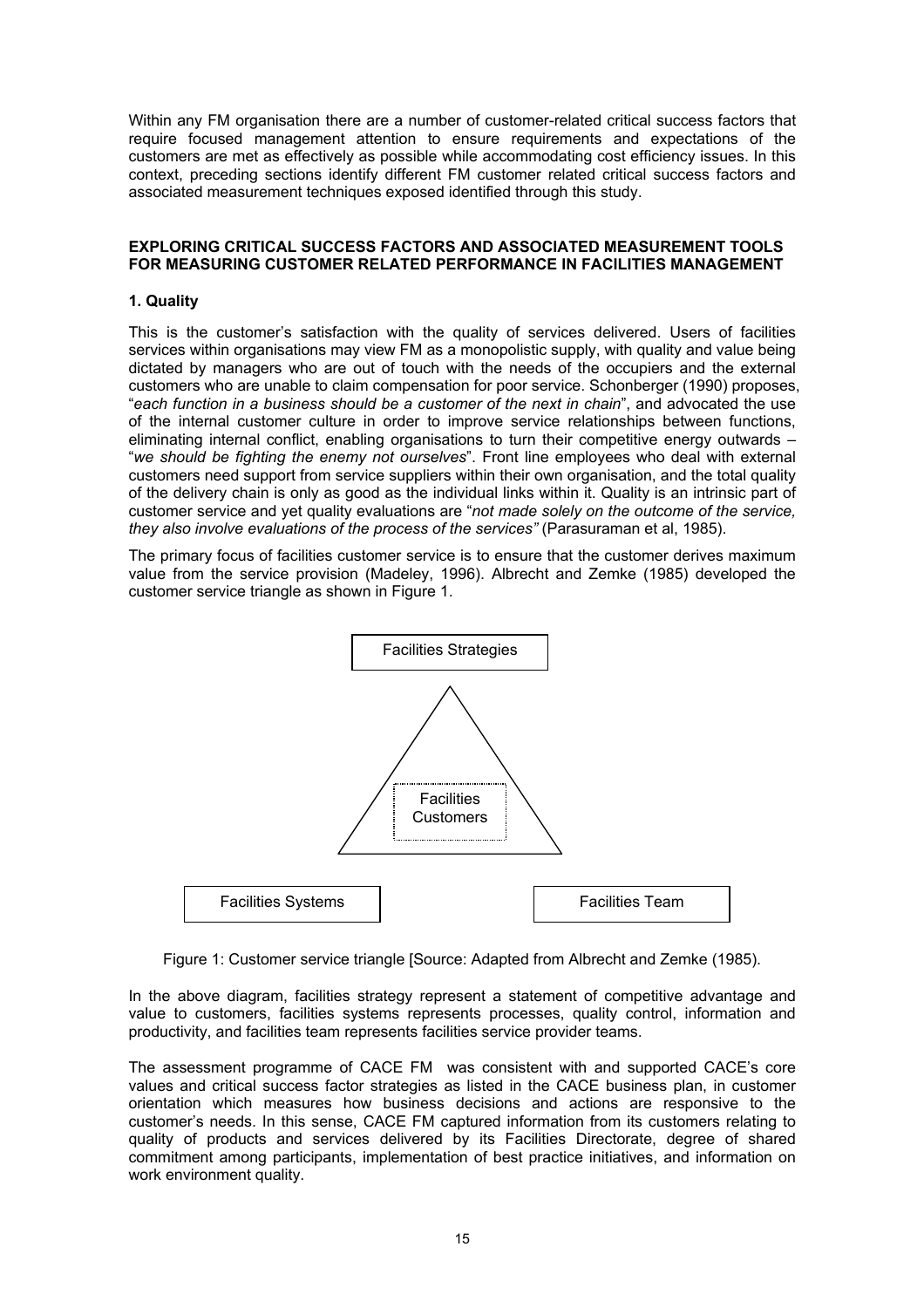Within any FM organisation there are a number of customer-related critical success factors that require focused management attention to ensure requirements and expectations of the customers are met as effectively as possible while accommodating cost efficiency issues. In this context, preceding sections identify different FM customer related critical success factors and associated measurement techniques exposed identified through this study.

# **EXPLORING CRITICAL SUCCESS FACTORS AND ASSOCIATED MEASUREMENT TOOLS FOR MEASURING CUSTOMER RELATED PERFORMANCE IN FACILITIES MANAGEMENT**

# **1. Quality**

This is the customer's satisfaction with the quality of services delivered. Users of facilities services within organisations may view FM as a monopolistic supply, with quality and value being dictated by managers who are out of touch with the needs of the occupiers and the external customers who are unable to claim compensation for poor service. Schonberger (1990) proposes, "*each function in a business should be a customer of the next in chain*", and advocated the use of the internal customer culture in order to improve service relationships between functions, eliminating internal conflict, enabling organisations to turn their competitive energy outwards – "*we should be fighting the enemy not ourselves*". Front line employees who deal with external customers need support from service suppliers within their own organisation, and the total quality of the delivery chain is only as good as the individual links within it. Quality is an intrinsic part of customer service and yet quality evaluations are "*not made solely on the outcome of the service, they also involve evaluations of the process of the services"* (Parasuraman et al, 1985).

The primary focus of facilities customer service is to ensure that the customer derives maximum value from the service provision (Madeley, 1996). Albrecht and Zemke (1985) developed the customer service triangle as shown in Figure 1.



Figure 1: Customer service triangle [Source: Adapted from Albrecht and Zemke (1985).

In the above diagram, facilities strategy represent a statement of competitive advantage and value to customers, facilities systems represents processes, quality control, information and productivity, and facilities team represents facilities service provider teams.

The assessment programme of CACE FM was consistent with and supported CACE's core values and critical success factor strategies as listed in the CACE business plan, in customer orientation which measures how business decisions and actions are responsive to the customer's needs. In this sense, CACE FM captured information from its customers relating to quality of products and services delivered by its Facilities Directorate, degree of shared commitment among participants, implementation of best practice initiatives, and information on work environment quality.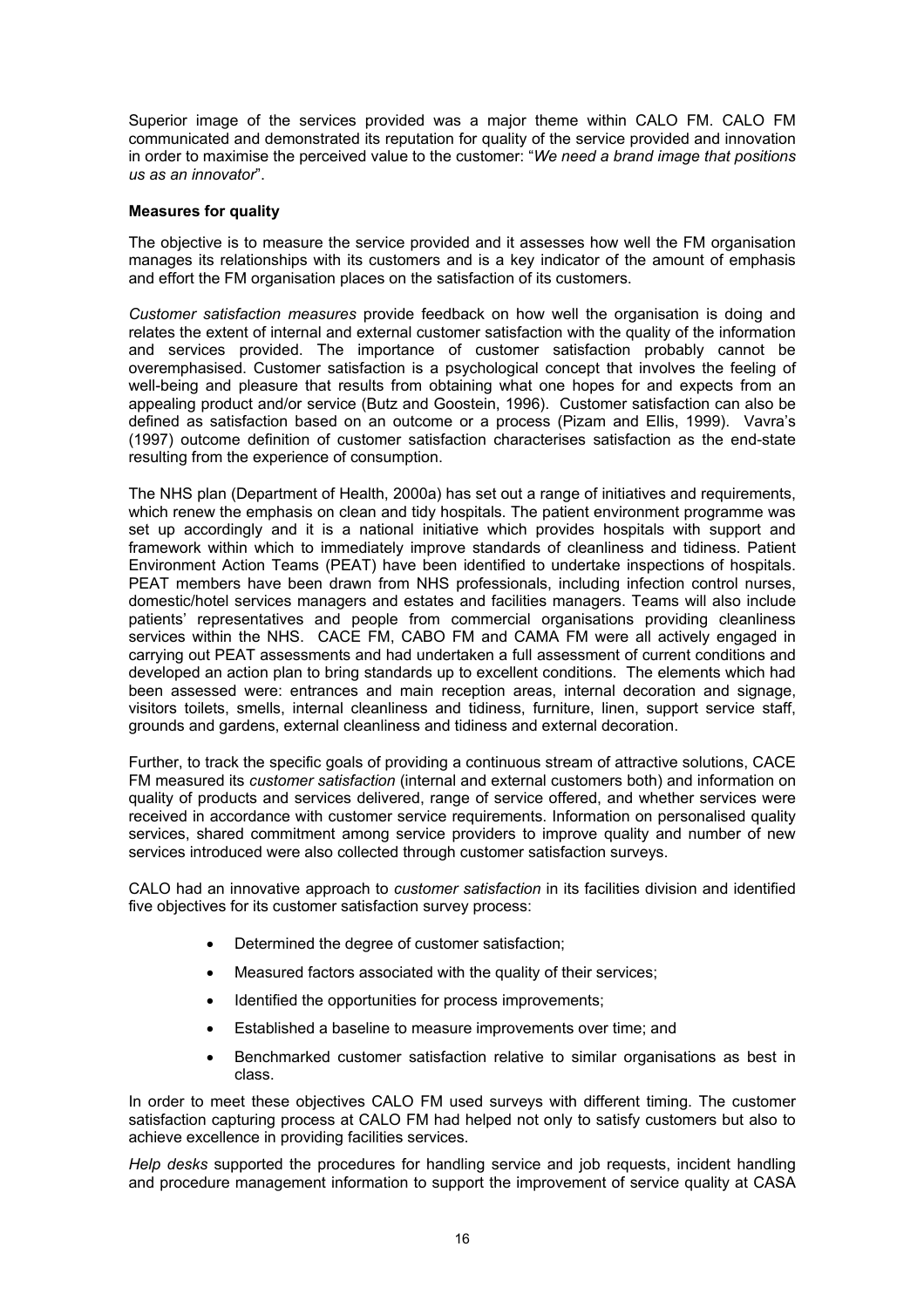Superior image of the services provided was a major theme within CALO FM. CALO FM communicated and demonstrated its reputation for quality of the service provided and innovation in order to maximise the perceived value to the customer: "*We need a brand image that positions us as an innovator*".

#### **Measures for quality**

The objective is to measure the service provided and it assesses how well the FM organisation manages its relationships with its customers and is a key indicator of the amount of emphasis and effort the FM organisation places on the satisfaction of its customers.

*Customer satisfaction measures* provide feedback on how well the organisation is doing and relates the extent of internal and external customer satisfaction with the quality of the information and services provided. The importance of customer satisfaction probably cannot be overemphasised. Customer satisfaction is a psychological concept that involves the feeling of well-being and pleasure that results from obtaining what one hopes for and expects from an appealing product and/or service (Butz and Goostein, 1996). Customer satisfaction can also be defined as satisfaction based on an outcome or a process (Pizam and Ellis, 1999). Vavra's (1997) outcome definition of customer satisfaction characterises satisfaction as the end-state resulting from the experience of consumption.

The NHS plan (Department of Health, 2000a) has set out a range of initiatives and requirements, which renew the emphasis on clean and tidy hospitals. The patient environment programme was set up accordingly and it is a national initiative which provides hospitals with support and framework within which to immediately improve standards of cleanliness and tidiness. Patient Environment Action Teams (PEAT) have been identified to undertake inspections of hospitals. PEAT members have been drawn from NHS professionals, including infection control nurses, domestic/hotel services managers and estates and facilities managers. Teams will also include patients' representatives and people from commercial organisations providing cleanliness services within the NHS. CACE FM, CABO FM and CAMA FM were all actively engaged in carrying out PEAT assessments and had undertaken a full assessment of current conditions and developed an action plan to bring standards up to excellent conditions. The elements which had been assessed were: entrances and main reception areas, internal decoration and signage, visitors toilets, smells, internal cleanliness and tidiness, furniture, linen, support service staff, grounds and gardens, external cleanliness and tidiness and external decoration.

Further, to track the specific goals of providing a continuous stream of attractive solutions, CACE FM measured its *customer satisfaction* (internal and external customers both) and information on quality of products and services delivered, range of service offered, and whether services were received in accordance with customer service requirements. Information on personalised quality services, shared commitment among service providers to improve quality and number of new services introduced were also collected through customer satisfaction surveys.

CALO had an innovative approach to *customer satisfaction* in its facilities division and identified five objectives for its customer satisfaction survey process:

- Determined the degree of customer satisfaction;
- Measured factors associated with the quality of their services:
- Identified the opportunities for process improvements;
- Established a baseline to measure improvements over time; and
- Benchmarked customer satisfaction relative to similar organisations as best in class.

In order to meet these objectives CALO FM used surveys with different timing. The customer satisfaction capturing process at CALO FM had helped not only to satisfy customers but also to achieve excellence in providing facilities services.

*Help desks* supported the procedures for handling service and job requests, incident handling and procedure management information to support the improvement of service quality at CASA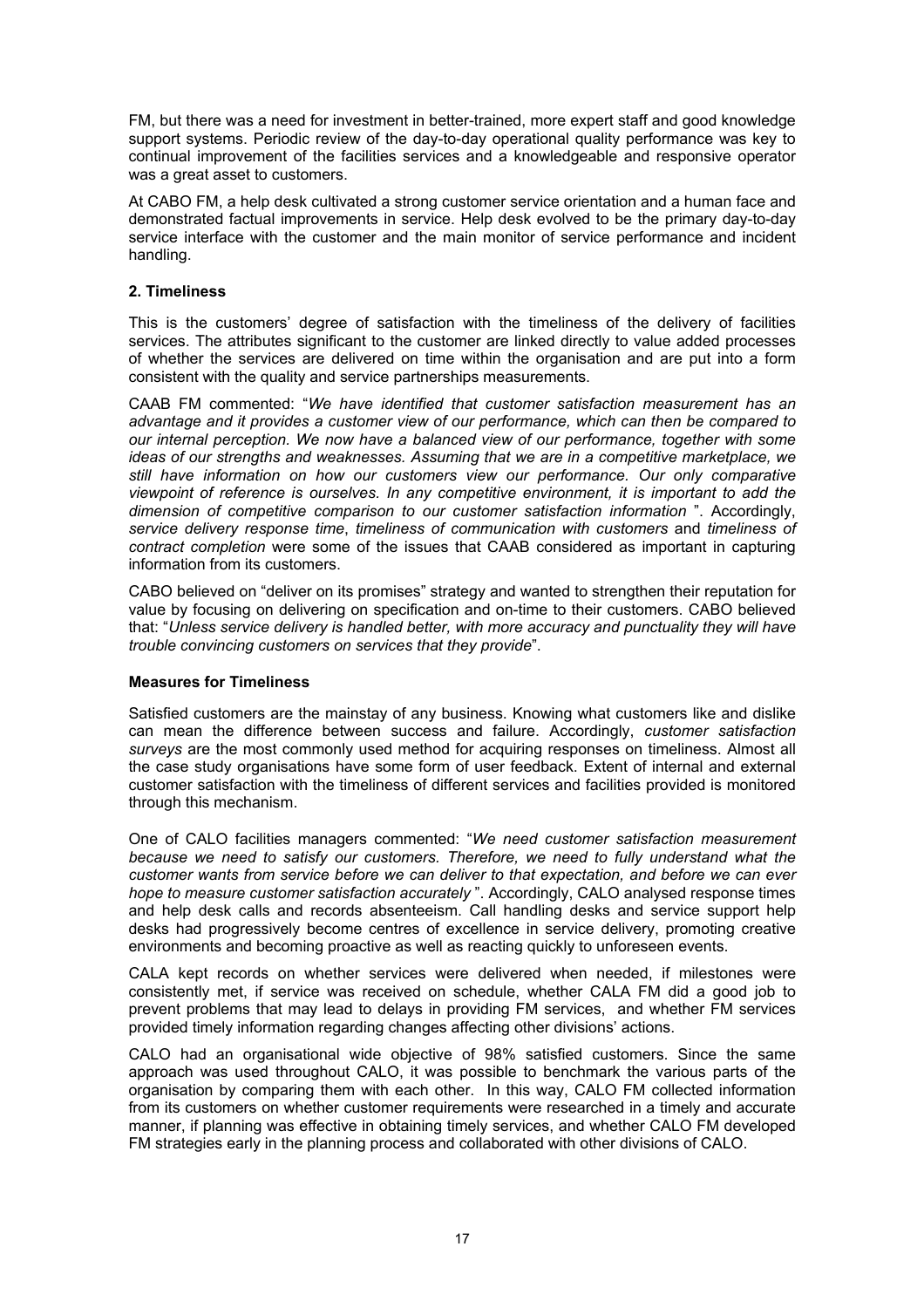FM, but there was a need for investment in better-trained, more expert staff and good knowledge support systems. Periodic review of the day-to-day operational quality performance was key to continual improvement of the facilities services and a knowledgeable and responsive operator was a great asset to customers.

At CABO FM, a help desk cultivated a strong customer service orientation and a human face and demonstrated factual improvements in service. Help desk evolved to be the primary day-to-day service interface with the customer and the main monitor of service performance and incident handling.

# **2. Timeliness**

This is the customers' degree of satisfaction with the timeliness of the delivery of facilities services. The attributes significant to the customer are linked directly to value added processes of whether the services are delivered on time within the organisation and are put into a form consistent with the quality and service partnerships measurements.

CAAB FM commented: "*We have identified that customer satisfaction measurement has an advantage and it provides a customer view of our performance, which can then be compared to our internal perception. We now have a balanced view of our performance, together with some ideas of our strengths and weaknesses. Assuming that we are in a competitive marketplace, we still have information on how our customers view our performance. Our only comparative viewpoint of reference is ourselves. In any competitive environment, it is important to add the dimension of competitive comparison to our customer satisfaction information* ". Accordingly, *service delivery response time*, *timeliness of communication with customers* and *timeliness of contract completion* were some of the issues that CAAB considered as important in capturing information from its customers.

CABO believed on "deliver on its promises" strategy and wanted to strengthen their reputation for value by focusing on delivering on specification and on-time to their customers. CABO believed that: "*Unless service delivery is handled better, with more accuracy and punctuality they will have trouble convincing customers on services that they provide*".

#### **Measures for Timeliness**

Satisfied customers are the mainstay of any business. Knowing what customers like and dislike can mean the difference between success and failure. Accordingly, *customer satisfaction surveys* are the most commonly used method for acquiring responses on timeliness. Almost all the case study organisations have some form of user feedback. Extent of internal and external customer satisfaction with the timeliness of different services and facilities provided is monitored through this mechanism.

One of CALO facilities managers commented: "*We need customer satisfaction measurement because we need to satisfy our customers. Therefore, we need to fully understand what the customer wants from service before we can deliver to that expectation, and before we can ever hope to measure customer satisfaction accurately* ". Accordingly, CALO analysed response times and help desk calls and records absenteeism. Call handling desks and service support help desks had progressively become centres of excellence in service delivery, promoting creative environments and becoming proactive as well as reacting quickly to unforeseen events.

CALA kept records on whether services were delivered when needed, if milestones were consistently met, if service was received on schedule, whether CALA FM did a good job to prevent problems that may lead to delays in providing FM services, and whether FM services provided timely information regarding changes affecting other divisions' actions.

CALO had an organisational wide objective of 98% satisfied customers. Since the same approach was used throughout CALO, it was possible to benchmark the various parts of the organisation by comparing them with each other. In this way, CALO FM collected information from its customers on whether customer requirements were researched in a timely and accurate manner, if planning was effective in obtaining timely services, and whether CALO FM developed FM strategies early in the planning process and collaborated with other divisions of CALO.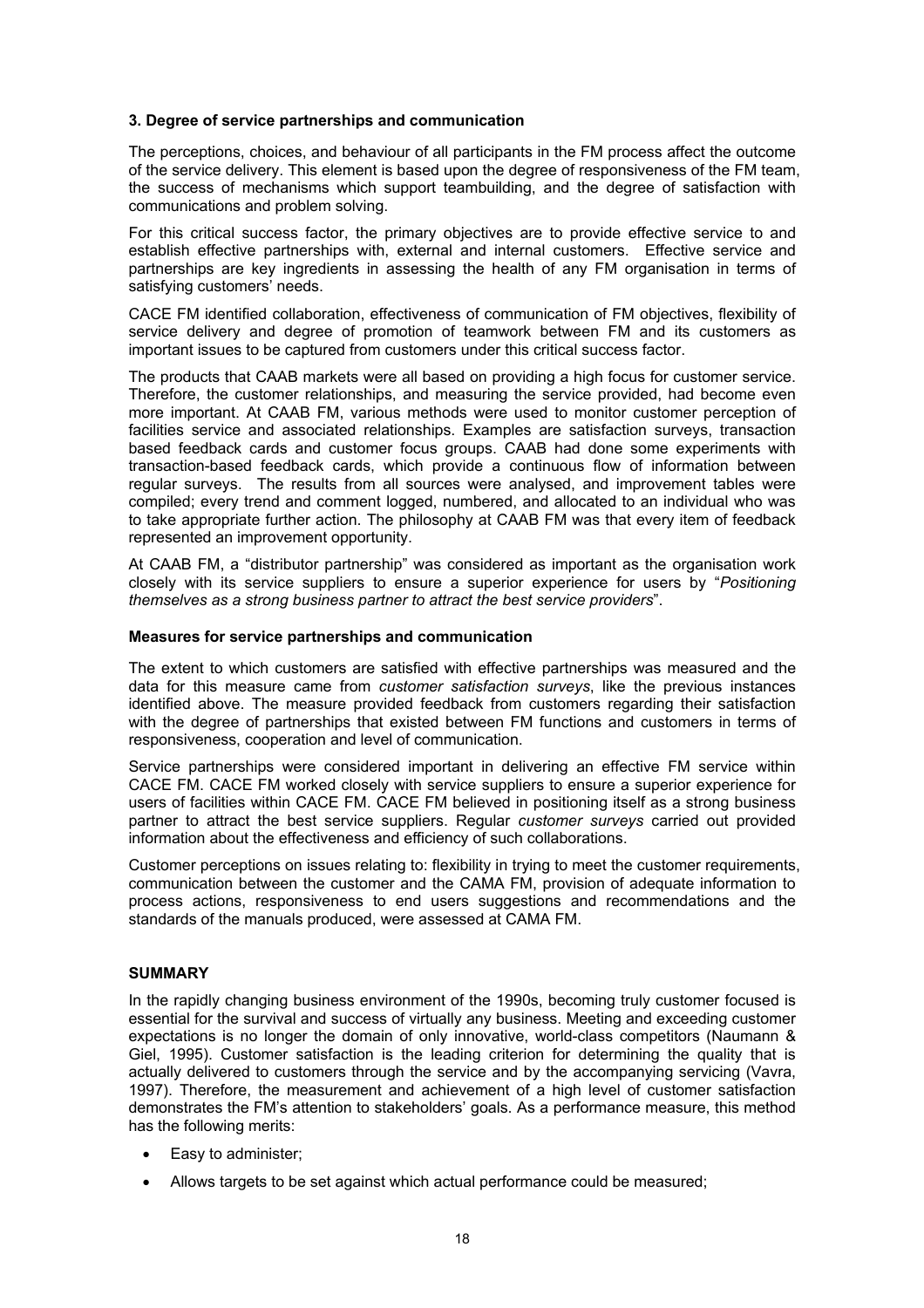#### **3. Degree of service partnerships and communication**

The perceptions, choices, and behaviour of all participants in the FM process affect the outcome of the service delivery. This element is based upon the degree of responsiveness of the FM team, the success of mechanisms which support teambuilding, and the degree of satisfaction with communications and problem solving.

For this critical success factor, the primary objectives are to provide effective service to and establish effective partnerships with, external and internal customers. Effective service and partnerships are key ingredients in assessing the health of any FM organisation in terms of satisfying customers' needs.

CACE FM identified collaboration, effectiveness of communication of FM objectives, flexibility of service delivery and degree of promotion of teamwork between FM and its customers as important issues to be captured from customers under this critical success factor.

The products that CAAB markets were all based on providing a high focus for customer service. Therefore, the customer relationships, and measuring the service provided, had become even more important. At CAAB FM, various methods were used to monitor customer perception of facilities service and associated relationships. Examples are satisfaction surveys, transaction based feedback cards and customer focus groups. CAAB had done some experiments with transaction-based feedback cards, which provide a continuous flow of information between regular surveys. The results from all sources were analysed, and improvement tables were compiled; every trend and comment logged, numbered, and allocated to an individual who was to take appropriate further action. The philosophy at CAAB FM was that every item of feedback represented an improvement opportunity.

At CAAB FM, a "distributor partnership" was considered as important as the organisation work closely with its service suppliers to ensure a superior experience for users by "*Positioning themselves as a strong business partner to attract the best service providers*".

# **Measures for service partnerships and communication**

The extent to which customers are satisfied with effective partnerships was measured and the data for this measure came from *customer satisfaction surveys*, like the previous instances identified above. The measure provided feedback from customers regarding their satisfaction with the degree of partnerships that existed between FM functions and customers in terms of responsiveness, cooperation and level of communication.

Service partnerships were considered important in delivering an effective FM service within CACE FM. CACE FM worked closely with service suppliers to ensure a superior experience for users of facilities within CACE FM. CACE FM believed in positioning itself as a strong business partner to attract the best service suppliers. Regular *customer surveys* carried out provided information about the effectiveness and efficiency of such collaborations.

Customer perceptions on issues relating to: flexibility in trying to meet the customer requirements, communication between the customer and the CAMA FM, provision of adequate information to process actions, responsiveness to end users suggestions and recommendations and the standards of the manuals produced, were assessed at CAMA FM.

#### **SUMMARY**

In the rapidly changing business environment of the 1990s, becoming truly customer focused is essential for the survival and success of virtually any business. Meeting and exceeding customer expectations is no longer the domain of only innovative, world-class competitors (Naumann & Giel, 1995). Customer satisfaction is the leading criterion for determining the quality that is actually delivered to customers through the service and by the accompanying servicing (Vavra, 1997). Therefore, the measurement and achievement of a high level of customer satisfaction demonstrates the FM's attention to stakeholders' goals. As a performance measure, this method has the following merits:

- Easy to administer;
- Allows targets to be set against which actual performance could be measured;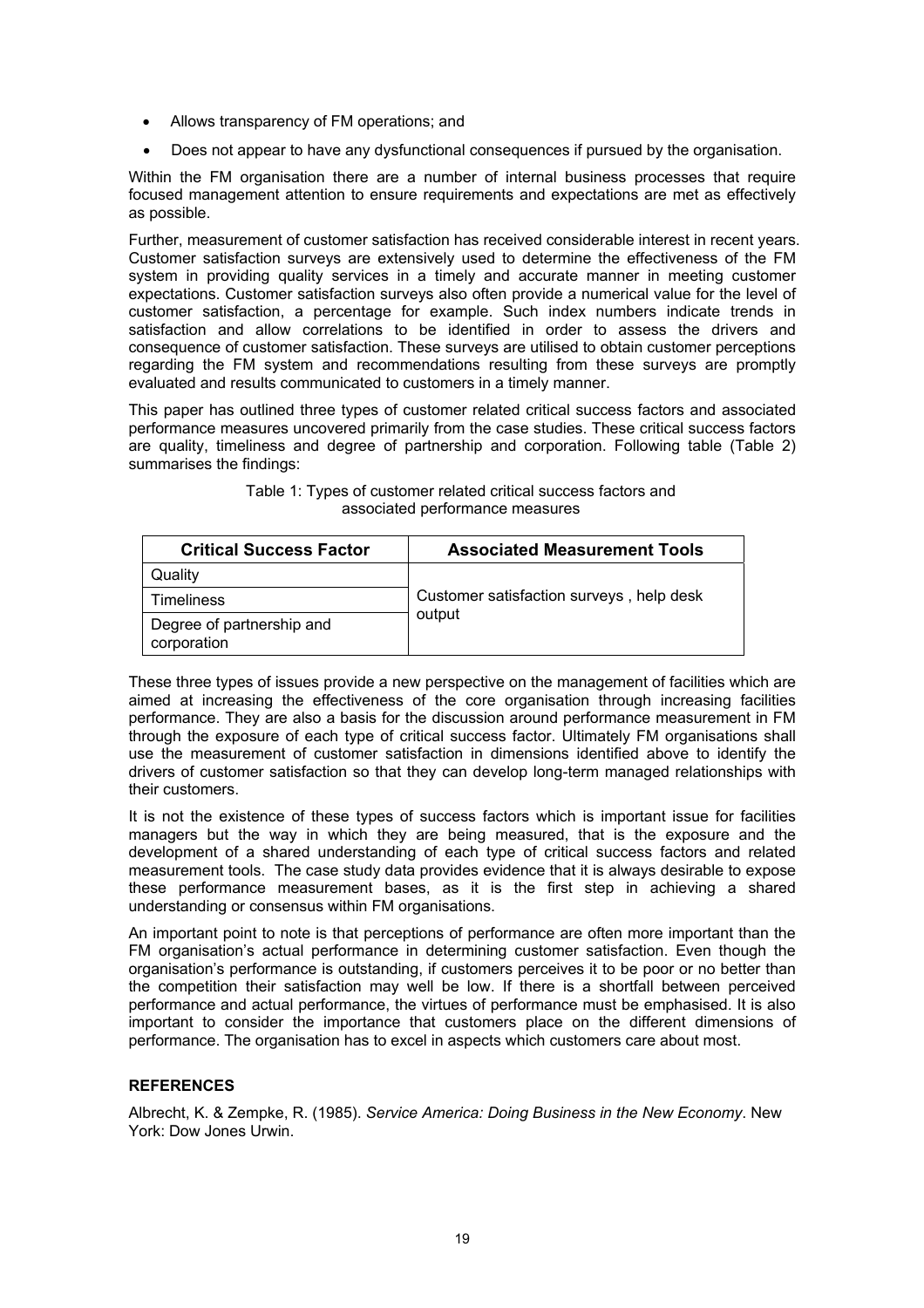- Allows transparency of FM operations; and
- Does not appear to have any dysfunctional consequences if pursued by the organisation.

Within the FM organisation there are a number of internal business processes that require focused management attention to ensure requirements and expectations are met as effectively as possible.

Further, measurement of customer satisfaction has received considerable interest in recent years. Customer satisfaction surveys are extensively used to determine the effectiveness of the FM system in providing quality services in a timely and accurate manner in meeting customer expectations. Customer satisfaction surveys also often provide a numerical value for the level of customer satisfaction, a percentage for example. Such index numbers indicate trends in satisfaction and allow correlations to be identified in order to assess the drivers and consequence of customer satisfaction. These surveys are utilised to obtain customer perceptions regarding the FM system and recommendations resulting from these surveys are promptly evaluated and results communicated to customers in a timely manner.

This paper has outlined three types of customer related critical success factors and associated performance measures uncovered primarily from the case studies. These critical success factors are quality, timeliness and degree of partnership and corporation. Following table (Table 2) summarises the findings:

| <b>Critical Success Factor</b>           | <b>Associated Measurement Tools</b>                |
|------------------------------------------|----------------------------------------------------|
| Quality                                  | Customer satisfaction surveys, help desk<br>output |
| Timeliness                               |                                                    |
| Degree of partnership and<br>corporation |                                                    |

#### Table 1: Types of customer related critical success factors and associated performance measures

These three types of issues provide a new perspective on the management of facilities which are aimed at increasing the effectiveness of the core organisation through increasing facilities performance. They are also a basis for the discussion around performance measurement in FM through the exposure of each type of critical success factor. Ultimately FM organisations shall use the measurement of customer satisfaction in dimensions identified above to identify the drivers of customer satisfaction so that they can develop long-term managed relationships with their customers.

It is not the existence of these types of success factors which is important issue for facilities managers but the way in which they are being measured, that is the exposure and the development of a shared understanding of each type of critical success factors and related measurement tools. The case study data provides evidence that it is always desirable to expose these performance measurement bases, as it is the first step in achieving a shared understanding or consensus within FM organisations.

An important point to note is that perceptions of performance are often more important than the FM organisation's actual performance in determining customer satisfaction. Even though the organisation's performance is outstanding, if customers perceives it to be poor or no better than the competition their satisfaction may well be low. If there is a shortfall between perceived performance and actual performance, the virtues of performance must be emphasised. It is also important to consider the importance that customers place on the different dimensions of performance. The organisation has to excel in aspects which customers care about most.

# **REFERENCES**

Albrecht, K. & Zempke, R. (1985). *Service America: Doing Business in the New Economy*. New York: Dow Jones Urwin.